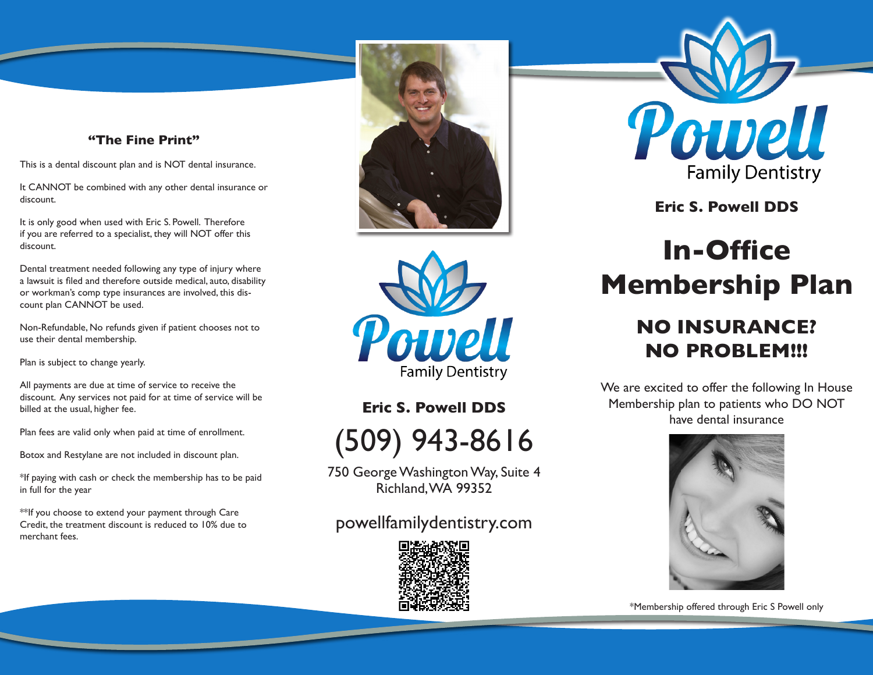#### **"The Fine Print"**

This is a dental discount plan and is NOT dental insurance.

It CANNOT be combined with any other dental insurance or discount.

It is only good when used with Eric S. Powell. Therefore if you are referred to a specialist, they will NOT offer this discount.

Dental treatment needed following any type of injury where a lawsuit is filed and therefore outside medical, auto, disability or workman's comp type insurances are involved, this discount plan CANNOT be used.

Non-Refundable, No refunds given if patient chooses not to use their dental membership.

Plan is subject to change yearly.

All payments are due at time of service to receive the discount. Any services not paid for at time of service will be billed at the usual, higher fee.

Plan fees are valid only when paid at time of enrollment.

Botox and Restylane are not included in discount plan.

\*If paying with cash or check the membership has to be paid in full for the year

\*\*If you choose to extend your payment through Care Credit, the treatment discount is reduced to 10% due to merchant fees.





**Eric S. Powell DDS**



750 George Washington Way, Suite 4 Richland, WA 99352

### powellfamilydentistry.com



Powell **Family Dentistry** 

**Eric S. Powell DDS**

# **In-Office Membership Plan**

## **NO INSURANCE? NO PROBLEM!!!**

We are excited to offer the following In House Membership plan to patients who DO NOT have dental insurance



\*Membership offered through Eric S Powell only